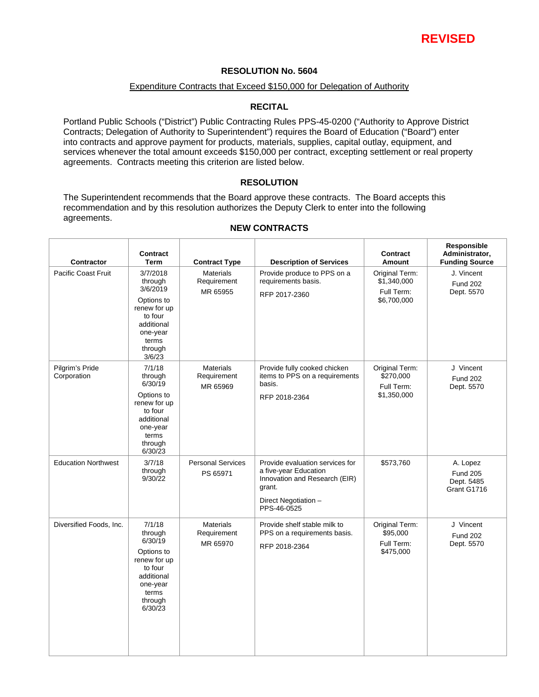

## **RESOLUTION No. 5604**

#### Expenditure Contracts that Exceed \$150,000 for Delegation of Authority

## **RECITAL**

Portland Public Schools ("District") Public Contracting Rules PPS-45-0200 ("Authority to Approve District Contracts; Delegation of Authority to Superintendent") requires the Board of Education ("Board") enter into contracts and approve payment for products, materials, supplies, capital outlay, equipment, and services whenever the total amount exceeds \$150,000 per contract, excepting settlement or real property agreements. Contracts meeting this criterion are listed below.

### **RESOLUTION**

The Superintendent recommends that the Board approve these contracts. The Board accepts this recommendation and by this resolution authorizes the Deputy Clerk to enter into the following agreements.

| <b>Contractor</b>              | <b>Contract</b><br>Term                                                                                                          | <b>Contract Type</b>                        | <b>Description of Services</b>                                                                                                             | <b>Contract</b><br>Amount                                  | Responsible<br>Administrator,<br><b>Funding Source</b>   |
|--------------------------------|----------------------------------------------------------------------------------------------------------------------------------|---------------------------------------------|--------------------------------------------------------------------------------------------------------------------------------------------|------------------------------------------------------------|----------------------------------------------------------|
| <b>Pacific Coast Fruit</b>     | 3/7/2018<br>through<br>3/6/2019<br>Options to<br>renew for up<br>to four<br>additional<br>one-year<br>terms<br>through<br>3/6/23 | <b>Materials</b><br>Requirement<br>MR 65955 | Provide produce to PPS on a<br>requirements basis.<br>RFP 2017-2360                                                                        | Original Term:<br>\$1,340,000<br>Full Term:<br>\$6,700,000 | J. Vincent<br><b>Fund 202</b><br>Dept. 5570              |
| Pilgrim's Pride<br>Corporation | 7/1/18<br>through<br>6/30/19<br>Options to<br>renew for up<br>to four<br>additional<br>one-year<br>terms<br>through<br>6/30/23   | Materials<br>Requirement<br>MR 65969        | Provide fully cooked chicken<br>items to PPS on a requirements<br>basis.<br>RFP 2018-2364                                                  | Original Term:<br>\$270,000<br>Full Term:<br>\$1,350,000   | J Vincent<br><b>Fund 202</b><br>Dept. 5570               |
| <b>Education Northwest</b>     | 3/7/18<br>through<br>9/30/22                                                                                                     | <b>Personal Services</b><br>PS 65971        | Provide evaluation services for<br>a five-year Education<br>Innovation and Research (EIR)<br>grant.<br>Direct Negotiation -<br>PPS-46-0525 | \$573,760                                                  | A. Lopez<br><b>Fund 205</b><br>Dept. 5485<br>Grant G1716 |
| Diversified Foods, Inc.        | 7/1/18<br>through<br>6/30/19<br>Options to<br>renew for up<br>to four<br>additional<br>one-year<br>terms<br>through<br>6/30/23   | <b>Materials</b><br>Requirement<br>MR 65970 | Provide shelf stable milk to<br>PPS on a requirements basis.<br>RFP 2018-2364                                                              | Original Term:<br>\$95,000<br>Full Term:<br>\$475,000      | J Vincent<br><b>Fund 202</b><br>Dept. 5570               |

## **NEW CONTRACTS**